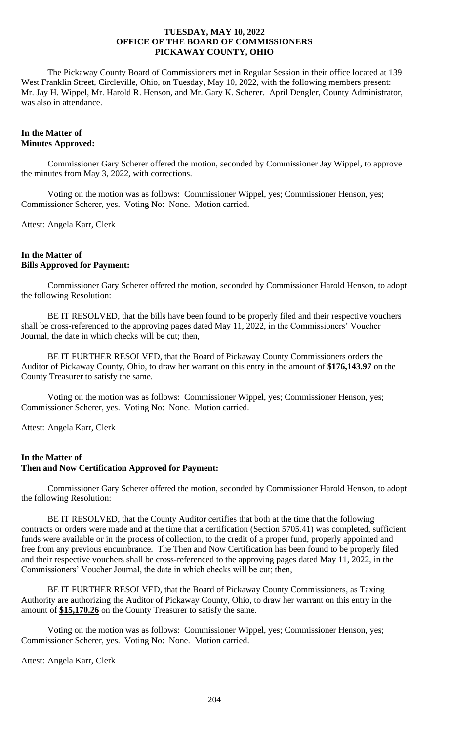The Pickaway County Board of Commissioners met in Regular Session in their office located at 139 West Franklin Street, Circleville, Ohio, on Tuesday, May 10, 2022, with the following members present: Mr. Jay H. Wippel, Mr. Harold R. Henson, and Mr. Gary K. Scherer. April Dengler, County Administrator, was also in attendance.

## **In the Matter of Minutes Approved:**

Commissioner Gary Scherer offered the motion, seconded by Commissioner Jay Wippel, to approve the minutes from May 3, 2022, with corrections.

Voting on the motion was as follows: Commissioner Wippel, yes; Commissioner Henson, yes; Commissioner Scherer, yes. Voting No: None. Motion carried.

Attest: Angela Karr, Clerk

## **In the Matter of Bills Approved for Payment:**

Commissioner Gary Scherer offered the motion, seconded by Commissioner Harold Henson, to adopt the following Resolution:

BE IT RESOLVED, that the bills have been found to be properly filed and their respective vouchers shall be cross-referenced to the approving pages dated May 11, 2022, in the Commissioners' Voucher Journal, the date in which checks will be cut; then,

BE IT FURTHER RESOLVED, that the Board of Pickaway County Commissioners orders the Auditor of Pickaway County, Ohio, to draw her warrant on this entry in the amount of **\$176,143.97** on the County Treasurer to satisfy the same.

Voting on the motion was as follows: Commissioner Wippel, yes; Commissioner Henson, yes; Commissioner Scherer, yes. Voting No: None. Motion carried.

Attest: Angela Karr, Clerk

## **In the Matter of Then and Now Certification Approved for Payment:**

Commissioner Gary Scherer offered the motion, seconded by Commissioner Harold Henson, to adopt the following Resolution:

BE IT RESOLVED, that the County Auditor certifies that both at the time that the following contracts or orders were made and at the time that a certification (Section 5705.41) was completed, sufficient funds were available or in the process of collection, to the credit of a proper fund, properly appointed and free from any previous encumbrance. The Then and Now Certification has been found to be properly filed and their respective vouchers shall be cross-referenced to the approving pages dated May 11, 2022, in the Commissioners' Voucher Journal, the date in which checks will be cut; then,

BE IT FURTHER RESOLVED, that the Board of Pickaway County Commissioners, as Taxing Authority are authorizing the Auditor of Pickaway County, Ohio, to draw her warrant on this entry in the amount of **\$15,170.26** on the County Treasurer to satisfy the same.

Voting on the motion was as follows: Commissioner Wippel, yes; Commissioner Henson, yes; Commissioner Scherer, yes. Voting No: None. Motion carried.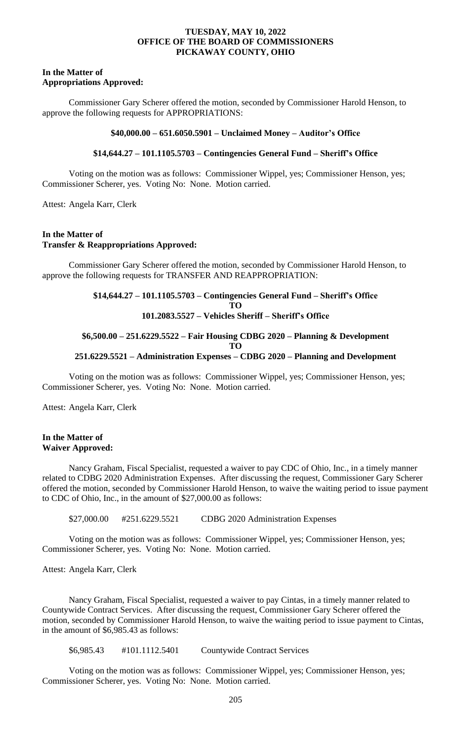#### **In the Matter of Appropriations Approved:**

Commissioner Gary Scherer offered the motion, seconded by Commissioner Harold Henson, to approve the following requests for APPROPRIATIONS:

#### **\$40,000.00 – 651.6050.5901 – Unclaimed Money – Auditor's Office**

# **\$14,644.27 – 101.1105.5703 – Contingencies General Fund – Sheriff's Office**

Voting on the motion was as follows: Commissioner Wippel, yes; Commissioner Henson, yes; Commissioner Scherer, yes. Voting No: None. Motion carried.

Attest: Angela Karr, Clerk

## **In the Matter of Transfer & Reappropriations Approved:**

Commissioner Gary Scherer offered the motion, seconded by Commissioner Harold Henson, to approve the following requests for TRANSFER AND REAPPROPRIATION:

# **\$14,644.27 – 101.1105.5703 – Contingencies General Fund – Sheriff's Office TO**

# **101.2083.5527 – Vehicles Sheriff – Sheriff's Office**

#### **\$6,500.00 – 251.6229.5522 – Fair Housing CDBG 2020 – Planning & Development TO 251.6229.5521 – Administration Expenses – CDBG 2020 – Planning and Development**

Voting on the motion was as follows: Commissioner Wippel, yes; Commissioner Henson, yes; Commissioner Scherer, yes. Voting No: None. Motion carried.

Attest: Angela Karr, Clerk

#### **In the Matter of Waiver Approved:**

Nancy Graham, Fiscal Specialist, requested a waiver to pay CDC of Ohio, Inc., in a timely manner related to CDBG 2020 Administration Expenses. After discussing the request, Commissioner Gary Scherer offered the motion, seconded by Commissioner Harold Henson, to waive the waiting period to issue payment to CDC of Ohio, Inc., in the amount of \$27,000.00 as follows:

\$27,000.00 #251.6229.5521 CDBG 2020 Administration Expenses

Voting on the motion was as follows: Commissioner Wippel, yes; Commissioner Henson, yes; Commissioner Scherer, yes. Voting No: None. Motion carried.

Attest: Angela Karr, Clerk

Nancy Graham, Fiscal Specialist, requested a waiver to pay Cintas, in a timely manner related to Countywide Contract Services. After discussing the request, Commissioner Gary Scherer offered the motion, seconded by Commissioner Harold Henson, to waive the waiting period to issue payment to Cintas, in the amount of \$6,985.43 as follows:

\$6,985.43 #101.1112.5401 Countywide Contract Services

Voting on the motion was as follows: Commissioner Wippel, yes; Commissioner Henson, yes; Commissioner Scherer, yes. Voting No: None. Motion carried.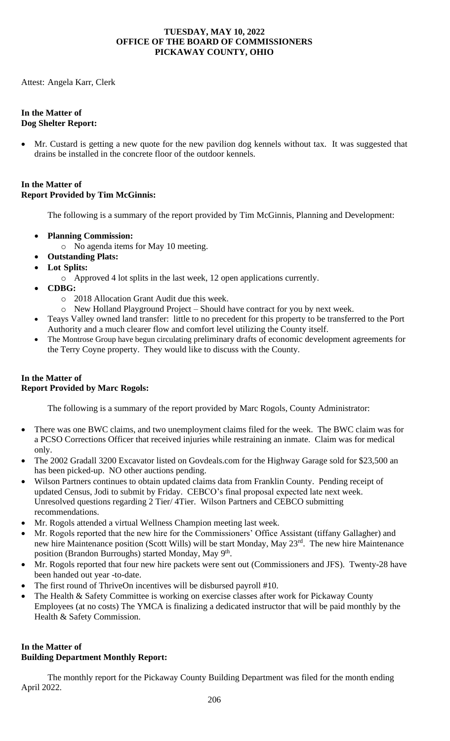Attest: Angela Karr, Clerk

## **In the Matter of Dog Shelter Report:**

• Mr. Custard is getting a new quote for the new pavilion dog kennels without tax. It was suggested that drains be installed in the concrete floor of the outdoor kennels.

## **In the Matter of Report Provided by Tim McGinnis:**

The following is a summary of the report provided by Tim McGinnis, Planning and Development:

- **Planning Commission:** 
	- o No agenda items for May 10 meeting.
- **Outstanding Plats:**
- **Lot Splits:**
	- o Approved 4 lot splits in the last week, 12 open applications currently.
- **CDBG:** 
	- o 2018 Allocation Grant Audit due this week.
	- o New Holland Playground Project Should have contract for you by next week.
- Teays Valley owned land transfer: little to no precedent for this property to be transferred to the Port Authority and a much clearer flow and comfort level utilizing the County itself.
- The Montrose Group have begun circulating preliminary drafts of economic development agreements for the Terry Coyne property. They would like to discuss with the County.

# **In the Matter of Report Provided by Marc Rogols:**

The following is a summary of the report provided by Marc Rogols, County Administrator:

- There was one BWC claims, and two unemployment claims filed for the week. The BWC claim was for a PCSO Corrections Officer that received injuries while restraining an inmate. Claim was for medical only.
- The 2002 Gradall 3200 Excavator listed on Govdeals.com for the Highway Garage sold for \$23,500 an has been picked-up. NO other auctions pending.
- Wilson Partners continues to obtain updated claims data from Franklin County. Pending receipt of updated Census, Jodi to submit by Friday. CEBCO's final proposal expected late next week. Unresolved questions regarding 2 Tier/ 4Tier. Wilson Partners and CEBCO submitting recommendations.
- Mr. Rogols attended a virtual Wellness Champion meeting last week.
- Mr. Rogols reported that the new hire for the Commissioners' Office Assistant (tiffany Gallagher) and new hire Maintenance position (Scott Wills) will be start Monday, May 23<sup>rd</sup>. The new hire Maintenance position (Brandon Burroughs) started Monday, May 9<sup>th</sup>.
- Mr. Rogols reported that four new hire packets were sent out (Commissioners and JFS). Twenty-28 have been handed out year -to-date.
- The first round of ThriveOn incentives will be disbursed payroll #10.
- The Health & Safety Committee is working on exercise classes after work for Pickaway County Employees (at no costs) The YMCA is finalizing a dedicated instructor that will be paid monthly by the Health & Safety Commission.

# **In the Matter of Building Department Monthly Report:**

The monthly report for the Pickaway County Building Department was filed for the month ending April 2022.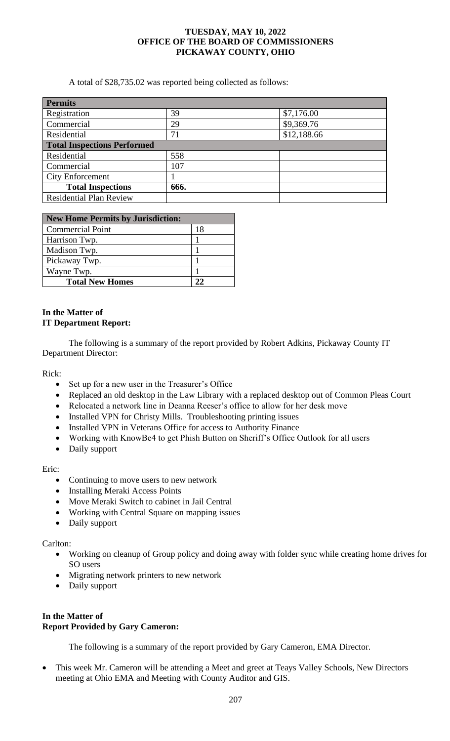A total of \$28,735.02 was reported being collected as follows:

| <b>Permits</b>                     |      |             |
|------------------------------------|------|-------------|
| Registration                       | 39   | \$7,176.00  |
| Commercial                         | 29   | \$9,369.76  |
| Residential                        | 71   | \$12,188.66 |
| <b>Total Inspections Performed</b> |      |             |
| Residential                        | 558  |             |
| Commercial                         | 107  |             |
| <b>City Enforcement</b>            |      |             |
| <b>Total Inspections</b>           | 666. |             |
| <b>Residential Plan Review</b>     |      |             |

| <b>New Home Permits by Jurisdiction:</b> |    |
|------------------------------------------|----|
| <b>Commercial Point</b>                  | 18 |
| Harrison Twp.                            |    |
| Madison Twp.                             |    |
| Pickaway Twp.                            |    |
| Wayne Twp.                               |    |
| <b>Total New Homes</b>                   | າາ |

# **In the Matter of IT Department Report:**

The following is a summary of the report provided by Robert Adkins, Pickaway County IT Department Director:

Rick:

- Set up for a new user in the Treasurer's Office
- Replaced an old desktop in the Law Library with a replaced desktop out of Common Pleas Court
- Relocated a network line in Deanna Reeser's office to allow for her desk move
- Installed VPN for Christy Mills. Troubleshooting printing issues
- Installed VPN in Veterans Office for access to Authority Finance
- Working with KnowBe4 to get Phish Button on Sheriff's Office Outlook for all users
- Daily support

Eric:

- Continuing to move users to new network
- Installing Meraki Access Points
- Move Meraki Switch to cabinet in Jail Central
- Working with Central Square on mapping issues
- Daily support

Carlton:

- Working on cleanup of Group policy and doing away with folder sync while creating home drives for SO users
- Migrating network printers to new network
- Daily support

# **In the Matter of Report Provided by Gary Cameron:**

The following is a summary of the report provided by Gary Cameron, EMA Director.

• This week Mr. Cameron will be attending a Meet and greet at Teays Valley Schools, New Directors meeting at Ohio EMA and Meeting with County Auditor and GIS.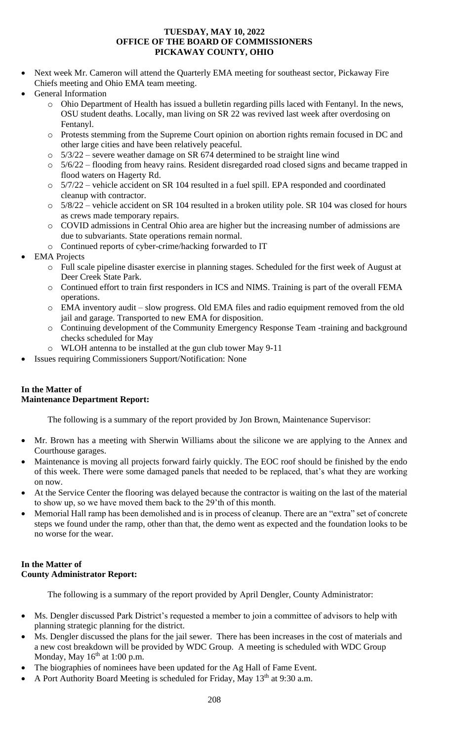- Next week Mr. Cameron will attend the Quarterly EMA meeting for southeast sector, Pickaway Fire Chiefs meeting and Ohio EMA team meeting.
- General Information
	- o Ohio Department of Health has issued a bulletin regarding pills laced with Fentanyl. In the news, OSU student deaths. Locally, man living on SR 22 was revived last week after overdosing on Fentanyl.
	- o Protests stemming from the Supreme Court opinion on abortion rights remain focused in DC and other large cities and have been relatively peaceful.
	- $\circ$  5/3/22 severe weather damage on SR 674 determined to be straight line wind
	- o 5/6/22 flooding from heavy rains. Resident disregarded road closed signs and became trapped in flood waters on Hagerty Rd.
	- o 5/7/22 vehicle accident on SR 104 resulted in a fuel spill. EPA responded and coordinated cleanup with contractor.
	- o 5/8/22 vehicle accident on SR 104 resulted in a broken utility pole. SR 104 was closed for hours as crews made temporary repairs.
	- o COVID admissions in Central Ohio area are higher but the increasing number of admissions are due to subvariants. State operations remain normal.
	- o Continued reports of cyber-crime/hacking forwarded to IT
- **EMA** Projects
	- o Full scale pipeline disaster exercise in planning stages. Scheduled for the first week of August at Deer Creek State Park.
	- o Continued effort to train first responders in ICS and NIMS. Training is part of the overall FEMA operations.
	- o EMA inventory audit slow progress. Old EMA files and radio equipment removed from the old jail and garage. Transported to new EMA for disposition.
	- o Continuing development of the Community Emergency Response Team -training and background checks scheduled for May
	- o WLOH antenna to be installed at the gun club tower May 9-11
- Issues requiring Commissioners Support/Notification: None

## **In the Matter of Maintenance Department Report:**

The following is a summary of the report provided by Jon Brown, Maintenance Supervisor:

- Mr. Brown has a meeting with Sherwin Williams about the silicone we are applying to the Annex and Courthouse garages.
- Maintenance is moving all projects forward fairly quickly. The EOC roof should be finished by the endo of this week. There were some damaged panels that needed to be replaced, that's what they are working on now.
- At the Service Center the flooring was delayed because the contractor is waiting on the last of the material to show up, so we have moved them back to the 29'th of this month.
- Memorial Hall ramp has been demolished and is in process of cleanup. There are an "extra" set of concrete steps we found under the ramp, other than that, the demo went as expected and the foundation looks to be no worse for the wear.

# **In the Matter of County Administrator Report:**

The following is a summary of the report provided by April Dengler, County Administrator:

- Ms. Dengler discussed Park District's requested a member to join a committee of advisors to help with planning strategic planning for the district.
- Ms. Dengler discussed the plans for the jail sewer. There has been increases in the cost of materials and a new cost breakdown will be provided by WDC Group. A meeting is scheduled with WDC Group Monday, May  $16^{th}$  at 1:00 p.m.
- The biographies of nominees have been updated for the Ag Hall of Fame Event.
- A Port Authority Board Meeting is scheduled for Friday, May 13<sup>th</sup> at 9:30 a.m.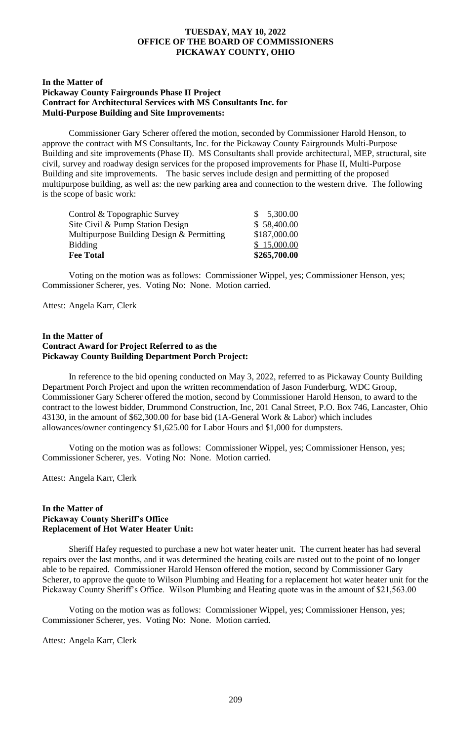#### **In the Matter of Pickaway County Fairgrounds Phase II Project Contract for Architectural Services with MS Consultants Inc. for Multi-Purpose Building and Site Improvements:**

Commissioner Gary Scherer offered the motion, seconded by Commissioner Harold Henson, to approve the contract with MS Consultants, Inc. for the Pickaway County Fairgrounds Multi-Purpose Building and site improvements (Phase II). MS Consultants shall provide architectural, MEP, structural, site civil, survey and roadway design services for the proposed improvements for Phase II, Multi-Purpose Building and site improvements. The basic serves include design and permitting of the proposed multipurpose building, as well as: the new parking area and connection to the western drive. The following is the scope of basic work:

| \$187,000.00<br>\$15,000.00 |
|-----------------------------|
|                             |
|                             |
| \$58,400.00                 |
| \$5,300.00                  |
|                             |

Voting on the motion was as follows: Commissioner Wippel, yes; Commissioner Henson, yes; Commissioner Scherer, yes. Voting No: None. Motion carried.

Attest: Angela Karr, Clerk

#### **In the Matter of Contract Award for Project Referred to as the Pickaway County Building Department Porch Project:**

In reference to the bid opening conducted on May 3, 2022, referred to as Pickaway County Building Department Porch Project and upon the written recommendation of Jason Funderburg, WDC Group, Commissioner Gary Scherer offered the motion, second by Commissioner Harold Henson, to award to the contract to the lowest bidder, Drummond Construction, Inc, 201 Canal Street, P.O. Box 746, Lancaster, Ohio 43130, in the amount of \$62,300.00 for base bid (1A-General Work & Labor) which includes allowances/owner contingency \$1,625.00 for Labor Hours and \$1,000 for dumpsters.

Voting on the motion was as follows: Commissioner Wippel, yes; Commissioner Henson, yes; Commissioner Scherer, yes. Voting No: None. Motion carried.

Attest: Angela Karr, Clerk

#### **In the Matter of Pickaway County Sheriff's Office Replacement of Hot Water Heater Unit:**

Sheriff Hafey requested to purchase a new hot water heater unit. The current heater has had several repairs over the last months, and it was determined the heating coils are rusted out to the point of no longer able to be repaired. Commissioner Harold Henson offered the motion, second by Commissioner Gary Scherer, to approve the quote to Wilson Plumbing and Heating for a replacement hot water heater unit for the Pickaway County Sheriff's Office. Wilson Plumbing and Heating quote was in the amount of \$21,563.00

Voting on the motion was as follows: Commissioner Wippel, yes; Commissioner Henson, yes; Commissioner Scherer, yes. Voting No: None. Motion carried.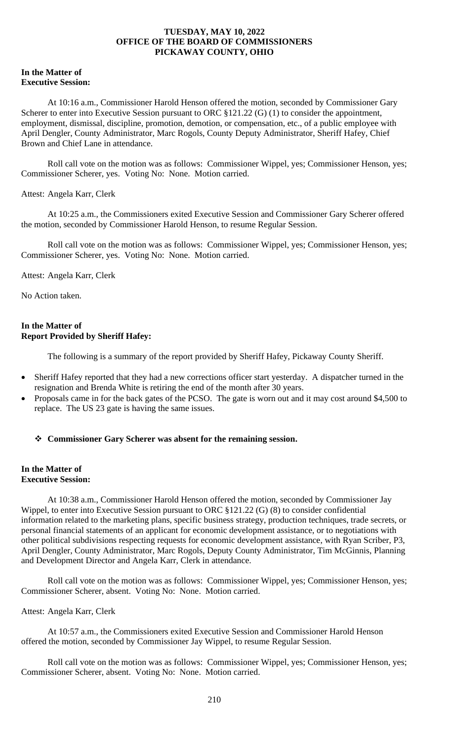#### **In the Matter of Executive Session:**

At 10:16 a.m., Commissioner Harold Henson offered the motion, seconded by Commissioner Gary Scherer to enter into Executive Session pursuant to ORC  $\S 121.22$  (G) (1) to consider the appointment, employment, dismissal, discipline, promotion, demotion, or compensation, etc., of a public employee with April Dengler, County Administrator, Marc Rogols, County Deputy Administrator, Sheriff Hafey, Chief Brown and Chief Lane in attendance.

Roll call vote on the motion was as follows: Commissioner Wippel, yes; Commissioner Henson, yes; Commissioner Scherer, yes. Voting No: None. Motion carried.

## Attest: Angela Karr, Clerk

At 10:25 a.m., the Commissioners exited Executive Session and Commissioner Gary Scherer offered the motion, seconded by Commissioner Harold Henson, to resume Regular Session.

Roll call vote on the motion was as follows: Commissioner Wippel, yes; Commissioner Henson, yes; Commissioner Scherer, yes. Voting No: None. Motion carried.

Attest: Angela Karr, Clerk

No Action taken.

## **In the Matter of Report Provided by Sheriff Hafey:**

The following is a summary of the report provided by Sheriff Hafey, Pickaway County Sheriff.

- Sheriff Hafey reported that they had a new corrections officer start yesterday. A dispatcher turned in the resignation and Brenda White is retiring the end of the month after 30 years.
- Proposals came in for the back gates of the PCSO. The gate is worn out and it may cost around \$4,500 to replace. The US 23 gate is having the same issues.

# ❖ **Commissioner Gary Scherer was absent for the remaining session.**

## **In the Matter of Executive Session:**

At 10:38 a.m., Commissioner Harold Henson offered the motion, seconded by Commissioner Jay Wippel, to enter into Executive Session pursuant to ORC §121.22 (G) (8) to consider confidential information related to the marketing plans, specific business strategy, production techniques, trade secrets, or personal financial statements of an applicant for economic development assistance, or to negotiations with other political subdivisions respecting requests for economic development assistance, with Ryan Scriber, P3, April Dengler, County Administrator, Marc Rogols, Deputy County Administrator, Tim McGinnis, Planning and Development Director and Angela Karr, Clerk in attendance.

Roll call vote on the motion was as follows: Commissioner Wippel, yes; Commissioner Henson, yes; Commissioner Scherer, absent. Voting No: None. Motion carried.

## Attest: Angela Karr, Clerk

At 10:57 a.m., the Commissioners exited Executive Session and Commissioner Harold Henson offered the motion, seconded by Commissioner Jay Wippel, to resume Regular Session.

Roll call vote on the motion was as follows: Commissioner Wippel, yes; Commissioner Henson, yes; Commissioner Scherer, absent. Voting No: None. Motion carried.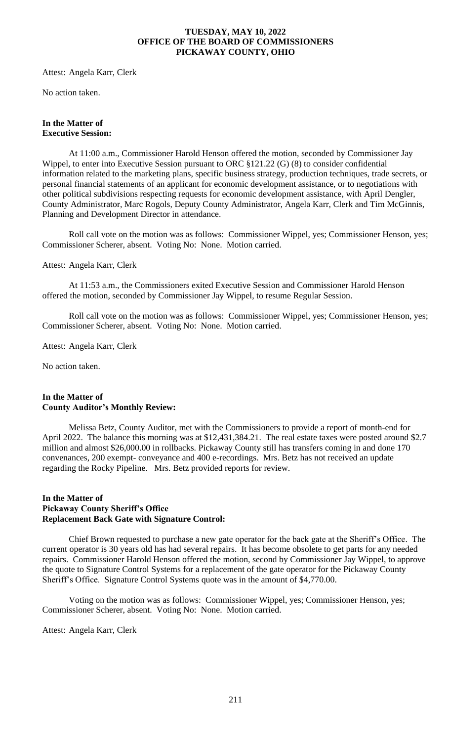Attest: Angela Karr, Clerk

No action taken.

#### **In the Matter of Executive Session:**

At 11:00 a.m., Commissioner Harold Henson offered the motion, seconded by Commissioner Jay Wippel, to enter into Executive Session pursuant to ORC §121.22 (G) (8) to consider confidential information related to the marketing plans, specific business strategy, production techniques, trade secrets, or personal financial statements of an applicant for economic development assistance, or to negotiations with other political subdivisions respecting requests for economic development assistance, with April Dengler, County Administrator, Marc Rogols, Deputy County Administrator, Angela Karr, Clerk and Tim McGinnis, Planning and Development Director in attendance.

Roll call vote on the motion was as follows: Commissioner Wippel, yes; Commissioner Henson, yes; Commissioner Scherer, absent. Voting No: None. Motion carried.

Attest: Angela Karr, Clerk

At 11:53 a.m., the Commissioners exited Executive Session and Commissioner Harold Henson offered the motion, seconded by Commissioner Jay Wippel, to resume Regular Session.

Roll call vote on the motion was as follows: Commissioner Wippel, yes; Commissioner Henson, yes; Commissioner Scherer, absent. Voting No: None. Motion carried.

Attest: Angela Karr, Clerk

No action taken.

## **In the Matter of County Auditor's Monthly Review:**

Melissa Betz, County Auditor, met with the Commissioners to provide a report of month-end for April 2022. The balance this morning was at \$12,431,384.21. The real estate taxes were posted around \$2.7 million and almost \$26,000.00 in rollbacks. Pickaway County still has transfers coming in and done 170 convenances, 200 exempt- conveyance and 400 e-recordings. Mrs. Betz has not received an update regarding the Rocky Pipeline. Mrs. Betz provided reports for review.

## **In the Matter of Pickaway County Sheriff's Office Replacement Back Gate with Signature Control:**

Chief Brown requested to purchase a new gate operator for the back gate at the Sheriff's Office. The current operator is 30 years old has had several repairs. It has become obsolete to get parts for any needed repairs. Commissioner Harold Henson offered the motion, second by Commissioner Jay Wippel, to approve the quote to Signature Control Systems for a replacement of the gate operator for the Pickaway County Sheriff's Office. Signature Control Systems quote was in the amount of \$4,770.00.

Voting on the motion was as follows: Commissioner Wippel, yes; Commissioner Henson, yes; Commissioner Scherer, absent. Voting No: None. Motion carried.